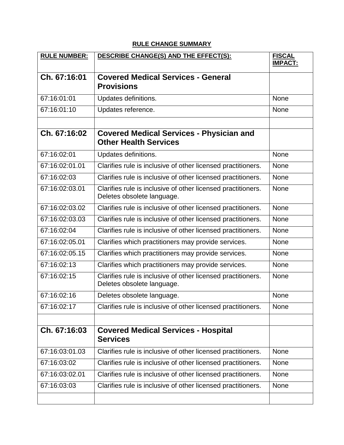## **RULE CHANGE SUMMARY**

| <b>RULE NUMBER:</b> | DESCRIBE CHANGE(S) AND THE EFFECT(S):                                                      | <b>FISCAL</b><br><b>IMPACT:</b> |
|---------------------|--------------------------------------------------------------------------------------------|---------------------------------|
|                     |                                                                                            |                                 |
| Ch. 67:16:01        | <b>Covered Medical Services - General</b><br><b>Provisions</b>                             |                                 |
| 67:16:01:01         | Updates definitions.                                                                       | <b>None</b>                     |
| 67:16:01:10         | Updates reference.                                                                         | <b>None</b>                     |
|                     |                                                                                            |                                 |
| Ch. 67:16:02        | <b>Covered Medical Services - Physician and</b><br><b>Other Health Services</b>            |                                 |
| 67:16:02:01         | Updates definitions.                                                                       | <b>None</b>                     |
| 67:16:02:01.01      | Clarifies rule is inclusive of other licensed practitioners.                               | <b>None</b>                     |
| 67:16:02:03         | Clarifies rule is inclusive of other licensed practitioners.                               | <b>None</b>                     |
| 67:16:02:03.01      | Clarifies rule is inclusive of other licensed practitioners.<br>Deletes obsolete language. | <b>None</b>                     |
| 67:16:02:03.02      | Clarifies rule is inclusive of other licensed practitioners.                               | <b>None</b>                     |
| 67:16:02:03.03      | Clarifies rule is inclusive of other licensed practitioners.                               | <b>None</b>                     |
| 67:16:02:04         | Clarifies rule is inclusive of other licensed practitioners.                               | <b>None</b>                     |
| 67:16:02:05.01      | Clarifies which practitioners may provide services.                                        | <b>None</b>                     |
| 67:16:02:05.15      | Clarifies which practitioners may provide services.                                        | <b>None</b>                     |
| 67:16:02:13         | Clarifies which practitioners may provide services.                                        | <b>None</b>                     |
| 67:16:02:15         | Clarifies rule is inclusive of other licensed practitioners.<br>Deletes obsolete language. | <b>None</b>                     |
| 67:16:02:16         | Deletes obsolete language.                                                                 | None                            |
| 67:16:02:17         | Clarifies rule is inclusive of other licensed practitioners.                               | None                            |
|                     |                                                                                            |                                 |
| Ch. 67:16:03        | <b>Covered Medical Services - Hospital</b><br><b>Services</b>                              |                                 |
| 67:16:03:01.03      | Clarifies rule is inclusive of other licensed practitioners.                               | None                            |
| 67:16:03:02         | Clarifies rule is inclusive of other licensed practitioners.                               | <b>None</b>                     |
| 67:16:03:02.01      | Clarifies rule is inclusive of other licensed practitioners.                               | None                            |
| 67:16:03:03         | Clarifies rule is inclusive of other licensed practitioners.                               | <b>None</b>                     |
|                     |                                                                                            |                                 |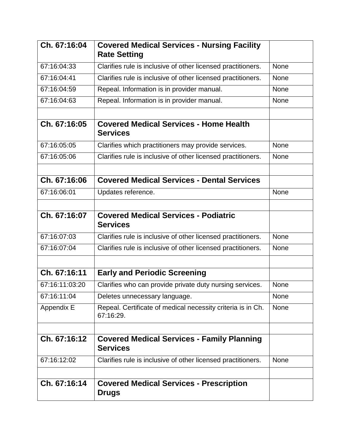| Ch. 67:16:04   | <b>Covered Medical Services - Nursing Facility</b><br><b>Rate Setting</b> |             |
|----------------|---------------------------------------------------------------------------|-------------|
| 67:16:04:33    | Clarifies rule is inclusive of other licensed practitioners.              | <b>None</b> |
| 67:16:04:41    | Clarifies rule is inclusive of other licensed practitioners.              | <b>None</b> |
| 67:16:04:59    | Repeal. Information is in provider manual.                                | <b>None</b> |
| 67:16:04:63    | Repeal. Information is in provider manual.                                | <b>None</b> |
| Ch. 67:16:05   | <b>Covered Medical Services - Home Health</b><br><b>Services</b>          |             |
| 67:16:05:05    | Clarifies which practitioners may provide services.                       | <b>None</b> |
| 67:16:05:06    | Clarifies rule is inclusive of other licensed practitioners.              | <b>None</b> |
| Ch. 67:16:06   | <b>Covered Medical Services - Dental Services</b>                         |             |
| 67:16:06:01    | Updates reference.                                                        | <b>None</b> |
| Ch. 67:16:07   | <b>Covered Medical Services - Podiatric</b><br><b>Services</b>            |             |
| 67:16:07:03    | Clarifies rule is inclusive of other licensed practitioners.              | <b>None</b> |
| 67:16:07:04    | Clarifies rule is inclusive of other licensed practitioners.              | <b>None</b> |
| Ch. 67:16:11   | <b>Early and Periodic Screening</b>                                       |             |
| 67:16:11:03:20 | Clarifies who can provide private duty nursing services.                  | <b>None</b> |
| 67:16:11:04    | Deletes unnecessary language.                                             | <b>None</b> |
| Appendix E     | Repeal. Certificate of medical necessity criteria is in Ch.<br>67:16:29.  | None        |
|                |                                                                           |             |
| Ch. 67:16:12   | <b>Covered Medical Services - Family Planning</b><br><b>Services</b>      |             |
| 67:16:12:02    | Clarifies rule is inclusive of other licensed practitioners.              | <b>None</b> |
|                |                                                                           |             |
| Ch. 67:16:14   | <b>Covered Medical Services - Prescription</b><br><b>Drugs</b>            |             |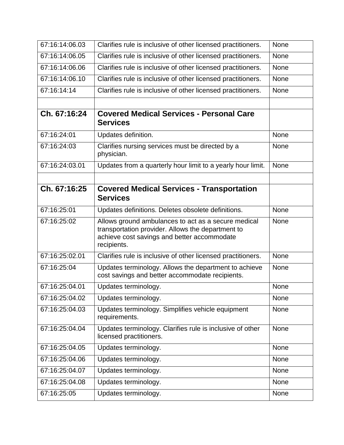| 67:16:14:06.03 | Clarifies rule is inclusive of other licensed practitioners.                                                                                                           | <b>None</b> |
|----------------|------------------------------------------------------------------------------------------------------------------------------------------------------------------------|-------------|
| 67:16:14:06.05 | Clarifies rule is inclusive of other licensed practitioners.                                                                                                           | <b>None</b> |
| 67:16:14:06.06 | Clarifies rule is inclusive of other licensed practitioners.                                                                                                           | <b>None</b> |
| 67:16:14:06.10 | Clarifies rule is inclusive of other licensed practitioners.                                                                                                           | <b>None</b> |
| 67:16:14:14    | Clarifies rule is inclusive of other licensed practitioners.                                                                                                           | <b>None</b> |
|                |                                                                                                                                                                        |             |
| Ch. 67:16:24   | <b>Covered Medical Services - Personal Care</b><br><b>Services</b>                                                                                                     |             |
| 67:16:24:01    | Updates definition.                                                                                                                                                    | <b>None</b> |
| 67:16:24:03    | Clarifies nursing services must be directed by a<br>physician.                                                                                                         | None        |
| 67:16:24:03.01 | Updates from a quarterly hour limit to a yearly hour limit.                                                                                                            | None        |
|                |                                                                                                                                                                        |             |
| Ch. 67:16:25   | <b>Covered Medical Services - Transportation</b><br><b>Services</b>                                                                                                    |             |
| 67:16:25:01    | Updates definitions. Deletes obsolete definitions.                                                                                                                     | <b>None</b> |
| 67:16:25:02    | Allows ground ambulances to act as a secure medical<br>transportation provider. Allows the department to<br>achieve cost savings and better accommodate<br>recipients. | <b>None</b> |
| 67:16:25:02.01 | Clarifies rule is inclusive of other licensed practitioners.                                                                                                           | <b>None</b> |
| 67:16:25:04    | Updates terminology. Allows the department to achieve<br>cost savings and better accommodate recipients.                                                               | <b>None</b> |
| 67:16:25:04.01 | Updates terminology.                                                                                                                                                   | None        |
| 67:16:25:04.02 | Updates terminology.                                                                                                                                                   | None        |
| 67:16:25:04.03 | Updates terminology. Simplifies vehicle equipment<br>requirements.                                                                                                     | None        |
| 67:16:25:04.04 | Updates terminology. Clarifies rule is inclusive of other<br>licensed practitioners.                                                                                   | <b>None</b> |
| 67:16:25:04.05 | Updates terminology.                                                                                                                                                   | <b>None</b> |
| 67:16:25:04.06 | Updates terminology.                                                                                                                                                   | <b>None</b> |
| 67:16:25:04.07 | Updates terminology.                                                                                                                                                   | <b>None</b> |
| 67:16:25:04.08 | Updates terminology.                                                                                                                                                   | <b>None</b> |
|                |                                                                                                                                                                        |             |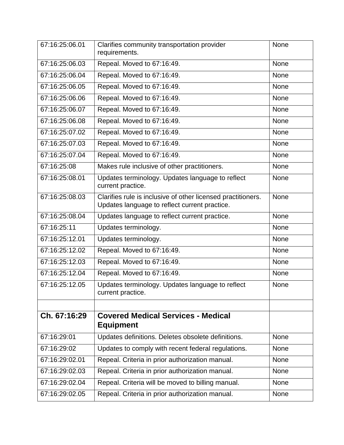| 67:16:25:06.01 | Clarifies community transportation provider<br>requirements.                                                  | None        |
|----------------|---------------------------------------------------------------------------------------------------------------|-------------|
| 67:16:25:06.03 | Repeal. Moved to 67:16:49.                                                                                    | <b>None</b> |
| 67:16:25:06.04 | Repeal. Moved to 67:16:49.                                                                                    | <b>None</b> |
| 67:16:25:06.05 | Repeal. Moved to 67:16:49.                                                                                    | <b>None</b> |
| 67:16:25:06.06 | Repeal. Moved to 67:16:49.                                                                                    | None        |
| 67:16:25:06.07 | Repeal. Moved to 67:16:49.                                                                                    | <b>None</b> |
| 67:16:25:06.08 | Repeal. Moved to 67:16:49.                                                                                    | <b>None</b> |
| 67:16:25:07.02 | Repeal. Moved to 67:16:49.                                                                                    | <b>None</b> |
| 67:16:25:07.03 | Repeal. Moved to 67:16:49.                                                                                    | None        |
| 67:16:25:07.04 | Repeal. Moved to 67:16:49.                                                                                    | None        |
| 67:16:25:08    | Makes rule inclusive of other practitioners.                                                                  | None        |
| 67:16:25:08.01 | Updates terminology. Updates language to reflect<br>current practice.                                         | <b>None</b> |
| 67:16:25:08.03 | Clarifies rule is inclusive of other licensed practitioners.<br>Updates language to reflect current practice. | <b>None</b> |
| 67:16:25:08.04 | Updates language to reflect current practice.                                                                 | <b>None</b> |
| 67:16:25:11    | Updates terminology.                                                                                          | None        |
| 67:16:25:12.01 | Updates terminology.                                                                                          | None        |
| 67:16:25:12.02 | Repeal. Moved to 67:16:49.                                                                                    | <b>None</b> |
| 67:16:25:12.03 | Repeal. Moved to 67:16:49.                                                                                    | <b>None</b> |
| 67:16:25:12.04 | Repeal. Moved to 67:16:49.                                                                                    | <b>None</b> |
| 67:16:25:12.05 | Updates terminology. Updates language to reflect<br>current practice.                                         | None        |
|                |                                                                                                               |             |
| Ch. 67:16:29   | <b>Covered Medical Services - Medical</b><br><b>Equipment</b>                                                 |             |
| 67:16:29:01    | Updates definitions. Deletes obsolete definitions.                                                            | <b>None</b> |
| 67:16:29:02    | Updates to comply with recent federal regulations.                                                            | <b>None</b> |
| 67:16:29:02.01 | Repeal. Criteria in prior authorization manual.                                                               | <b>None</b> |
| 67:16:29:02.03 | Repeal. Criteria in prior authorization manual.                                                               | <b>None</b> |
| 67:16:29:02.04 | Repeal. Criteria will be moved to billing manual.                                                             | <b>None</b> |
| 67:16:29:02.05 | Repeal. Criteria in prior authorization manual.                                                               | <b>None</b> |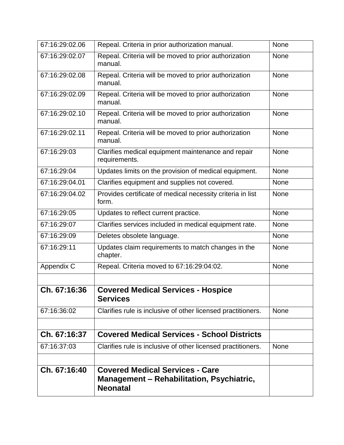| 67:16:29:02.06 | Repeal. Criteria in prior authorization manual.                                                               | <b>None</b> |
|----------------|---------------------------------------------------------------------------------------------------------------|-------------|
| 67:16:29:02.07 | Repeal. Criteria will be moved to prior authorization<br>manual.                                              | <b>None</b> |
| 67:16:29:02.08 | Repeal. Criteria will be moved to prior authorization<br>manual.                                              | <b>None</b> |
| 67:16:29:02.09 | Repeal. Criteria will be moved to prior authorization<br>manual.                                              | None        |
| 67:16:29:02.10 | Repeal. Criteria will be moved to prior authorization<br>manual.                                              | <b>None</b> |
| 67:16:29:02.11 | Repeal. Criteria will be moved to prior authorization<br>manual.                                              | <b>None</b> |
| 67:16:29:03    | Clarifies medical equipment maintenance and repair<br>requirements.                                           | <b>None</b> |
| 67:16:29:04    | Updates limits on the provision of medical equipment.                                                         | <b>None</b> |
| 67:16:29:04.01 | Clarifies equipment and supplies not covered.                                                                 | <b>None</b> |
| 67:16:29:04.02 | Provides certificate of medical necessity criteria in list<br>form.                                           | <b>None</b> |
| 67:16:29:05    | Updates to reflect current practice.                                                                          | None        |
| 67:16:29:07    | Clarifies services included in medical equipment rate.                                                        | None        |
| 67:16:29:09    | Deletes obsolete language.                                                                                    | None        |
| 67:16:29:11    | Updates claim requirements to match changes in the<br>chapter.                                                | <b>None</b> |
| Appendix C     | Repeal. Criteria moved to 67:16:29:04:02.                                                                     | <b>None</b> |
| Ch. 67:16:36   | <b>Covered Medical Services - Hospice</b><br><b>Services</b>                                                  |             |
| 67:16:36:02    | Clarifies rule is inclusive of other licensed practitioners.                                                  | <b>None</b> |
| Ch. 67:16:37   | <b>Covered Medical Services - School Districts</b>                                                            |             |
| 67:16:37:03    | Clarifies rule is inclusive of other licensed practitioners.                                                  | <b>None</b> |
| Ch. 67:16:40   | <b>Covered Medical Services - Care</b><br><b>Management - Rehabilitation, Psychiatric,</b><br><b>Neonatal</b> |             |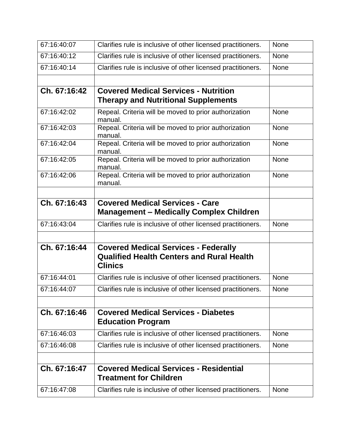| 67:16:40:07  | Clarifies rule is inclusive of other licensed practitioners.                                                      | <b>None</b> |
|--------------|-------------------------------------------------------------------------------------------------------------------|-------------|
| 67:16:40:12  | Clarifies rule is inclusive of other licensed practitioners.                                                      | <b>None</b> |
| 67:16:40:14  | Clarifies rule is inclusive of other licensed practitioners.                                                      | <b>None</b> |
| Ch. 67:16:42 | <b>Covered Medical Services - Nutrition</b><br><b>Therapy and Nutritional Supplements</b>                         |             |
| 67:16:42:02  | Repeal. Criteria will be moved to prior authorization<br>manual.                                                  | <b>None</b> |
| 67:16:42:03  | Repeal. Criteria will be moved to prior authorization<br>manual.                                                  | None        |
| 67:16:42:04  | Repeal. Criteria will be moved to prior authorization<br>manual.                                                  | <b>None</b> |
| 67:16:42:05  | Repeal. Criteria will be moved to prior authorization<br>manual.                                                  | <b>None</b> |
| 67:16:42:06  | Repeal. Criteria will be moved to prior authorization<br>manual.                                                  | <b>None</b> |
| Ch. 67:16:43 | <b>Covered Medical Services - Care</b><br><b>Management - Medically Complex Children</b>                          |             |
| 67:16:43:04  | Clarifies rule is inclusive of other licensed practitioners.                                                      | <b>None</b> |
| Ch. 67:16:44 | <b>Covered Medical Services - Federally</b><br><b>Qualified Health Centers and Rural Health</b><br><b>Clinics</b> |             |
| 67:16:44:01  | Clarifies rule is inclusive of other licensed practitioners.                                                      | <b>None</b> |
| 67:16:44:07  | Clarifies rule is inclusive of other licensed practitioners.                                                      | <b>None</b> |
| Ch. 67:16:46 | <b>Covered Medical Services - Diabetes</b><br><b>Education Program</b>                                            |             |
| 67:16:46:03  | Clarifies rule is inclusive of other licensed practitioners.                                                      | <b>None</b> |
| 67:16:46:08  | Clarifies rule is inclusive of other licensed practitioners.                                                      | <b>None</b> |
| Ch. 67:16:47 | <b>Covered Medical Services - Residential</b><br><b>Treatment for Children</b>                                    |             |
| 67:16:47:08  | Clarifies rule is inclusive of other licensed practitioners.                                                      | None        |